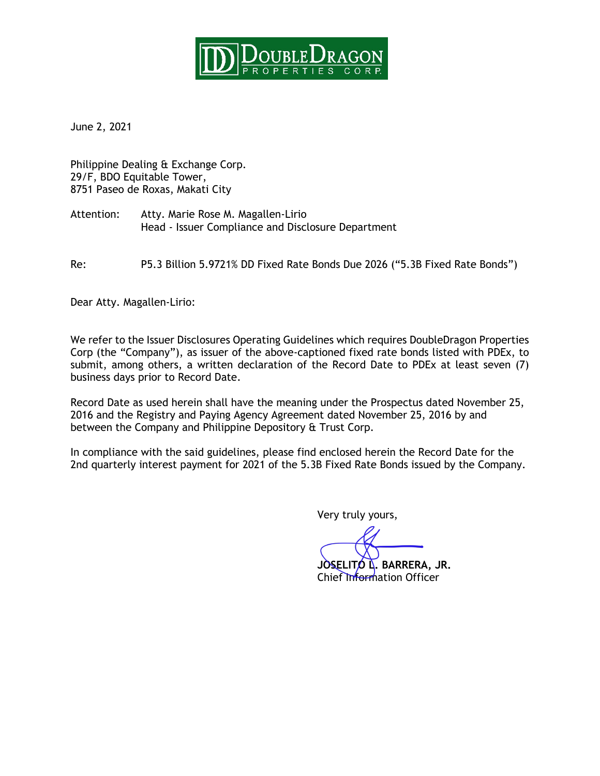

June 2, 2021

Philippine Dealing & Exchange Corp. 29/F, BDO Equitable Tower, 8751 Paseo de Roxas, Makati City

Attention: Atty. Marie Rose M. Magallen-Lirio Head - Issuer Compliance and Disclosure Department

Re: P5.3 Billion 5.9721% DD Fixed Rate Bonds Due 2026 ("5.3B Fixed Rate Bonds")

Dear Atty. Magallen-Lirio:

We refer to the Issuer Disclosures Operating Guidelines which requires DoubleDragon Properties Corp (the "Company"), as issuer of the above-captioned fixed rate bonds listed with PDEx, to submit, among others, a written declaration of the Record Date to PDEx at least seven (7) business days prior to Record Date.

Record Date as used herein shall have the meaning under the Prospectus dated November 25, 2016 and the Registry and Paying Agency Agreement dated November 25, 2016 by and between the Company and Philippine Depository & Trust Corp.

In compliance with the said guidelines, please find enclosed herein the Record Date for the 2nd quarterly interest payment for 2021 of the 5.3B Fixed Rate Bonds issued by the Company.

Very truly yours,

**JOSELITO L. BARRERA, JR.**

Chief Information Officer